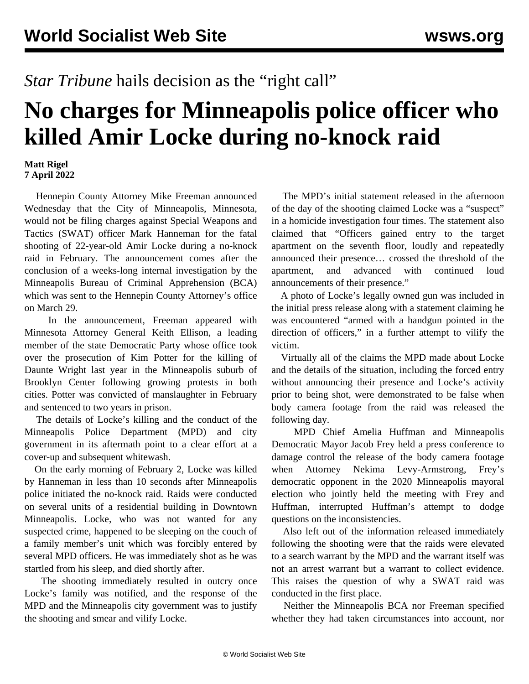## *Star Tribune* hails decision as the "right call"

## **No charges for Minneapolis police officer who killed Amir Locke during no-knock raid**

## **Matt Rigel 7 April 2022**

 Hennepin County Attorney Mike Freeman announced Wednesday that the City of Minneapolis, Minnesota, would not be filing charges against Special Weapons and Tactics (SWAT) officer Mark Hanneman for the fatal shooting of 22-year-old Amir Locke during a no-knock raid in February. The announcement comes after the conclusion of a weeks-long internal investigation by the Minneapolis Bureau of Criminal Apprehension (BCA) which was sent to the Hennepin County Attorney's office on March 29.

 In the announcement, Freeman appeared with Minnesota Attorney General Keith Ellison, a leading member of the state Democratic Party whose office took over the prosecution of Kim Potter for the killing of Daunte Wright last year in the Minneapolis suburb of Brooklyn Center following growing protests in both cities. Potter was convicted of manslaughter in February and sentenced to two years in prison.

 The details of Locke's killing and the conduct of the Minneapolis Police Department (MPD) and city government in its aftermath point to a clear effort at a cover-up and subsequent whitewash.

 On the early morning of February 2, Locke was killed by Hanneman in less than 10 seconds after Minneapolis police initiated the no-knock raid. Raids were conducted on several units of a residential building in Downtown Minneapolis. Locke, who was not wanted for any suspected crime, happened to be sleeping on the couch of a family member's unit which was forcibly entered by several MPD officers. He was immediately shot as he was startled from his sleep, and died shortly after.

 The shooting immediately resulted in outcry once Locke's family was notified, and the response of the MPD and the Minneapolis city government was to justify the shooting and smear and vilify Locke.

 The MPD's initial statement released in the afternoon of the day of the shooting claimed Locke was a "suspect" in a homicide investigation four times. The statement also claimed that "Officers gained entry to the target apartment on the seventh floor, loudly and repeatedly announced their presence… crossed the threshold of the apartment, and advanced with continued loud announcements of their presence."

 A photo of Locke's legally owned gun was included in the initial press release along with a statement claiming he was encountered "armed with a handgun pointed in the direction of officers," in a further attempt to vilify the victim.

 Virtually all of the claims the MPD made about Locke and the details of the situation, including the forced entry without announcing their presence and Locke's activity prior to being shot, were demonstrated to be false when body camera footage from the raid was released the following day.

 MPD Chief Amelia Huffman and Minneapolis Democratic Mayor Jacob Frey held a press conference to damage control the release of the body camera footage when Attorney Nekima Levy-Armstrong, Frey's democratic opponent in the 2020 Minneapolis mayoral election who jointly held the meeting with Frey and Huffman, interrupted Huffman's attempt to dodge questions on the inconsistencies.

 Also left out of the information released immediately following the shooting were that the raids were elevated to a search warrant by the MPD and the warrant itself was not an arrest warrant but a warrant to collect evidence. This raises the question of why a SWAT raid was conducted in the first place.

 Neither the Minneapolis BCA nor Freeman specified whether they had taken circumstances into account, nor